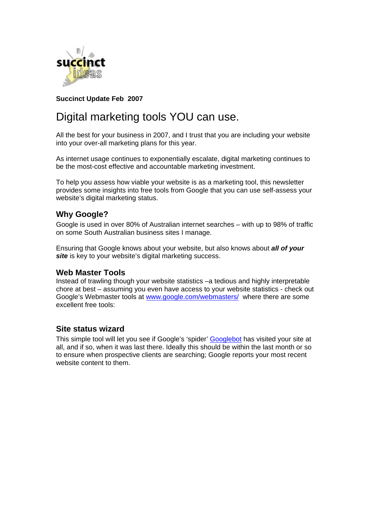

# **Succinct Update Feb 2007**

# Digital marketing tools YOU can use.

All the best for your business in 2007, and I trust that you are including your website into your over-all marketing plans for this year.

As internet usage continues to exponentially escalate, digital marketing continues to be the most-cost effective and accountable marketing investment.

To help you assess how viable your website is as a marketing tool, this newsletter provides some insights into free tools from Google that you can use self-assess your website's digital marketing status.

# **Why Google?**

Google is used in over 80% of Australian internet searches – with up to 98% of traffic on some South Australian business sites I manage.

Ensuring that Google knows about your website, but also knows about *all of your*  **site** is key to your website's digital marketing success.

### **Web Master Tools**

Instead of trawling though your website statistics –a tedious and highly interpretable chore at best – assuming you even have access to your website statistics - check out Google's Webmaster tools at www.google.com/webmasters/ where there are some excellent free tools:

# **Site status wizard**

This simple tool will let you see if Google's 'spider' Googlebot has visited your site at all, and if so, when it was last there. Ideally this should be within the last month or so to ensure when prospective clients are searching; Google reports your most recent website content to them.